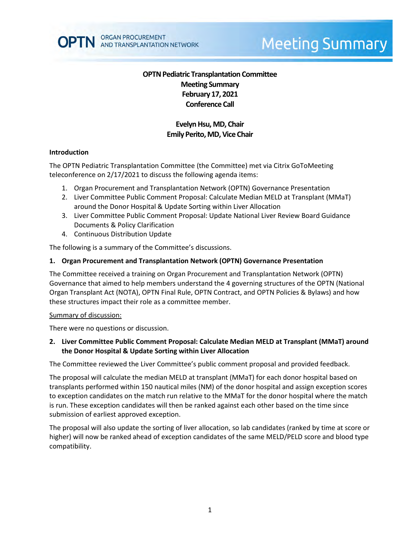

# **Meeting Summary**

# **OPTN Pediatric Transplantation Committee Meeting Summary February 17, 2021 Conference Call**

# **Evelyn Hsu, MD, Chair Emily Perito, MD, Vice Chair**

#### **Introduction**

The OPTN Pediatric Transplantation Committee (the Committee) met via Citrix GoToMeeting teleconference on 2/17/2021 to discuss the following agenda items:

- 1. Organ Procurement and Transplantation Network (OPTN) Governance Presentation
- 2. Liver Committee Public Comment Proposal: Calculate Median MELD at Transplant (MMaT) around the Donor Hospital & Update Sorting within Liver Allocation
- 3. Liver Committee Public Comment Proposal: Update National Liver Review Board Guidance Documents & Policy Clarification
- 4. Continuous Distribution Update

The following is a summary of the Committee's discussions.

#### **1. Organ Procurement and Transplantation Network (OPTN) Governance Presentation**

The Committee received a training on Organ Procurement and Transplantation Network (OPTN) Governance that aimed to help members understand the 4 governing structures of the OPTN (National Organ Transplant Act (NOTA), OPTN Final Rule, OPTN Contract, and OPTN Policies & Bylaws) and how these structures impact their role as a committee member.

#### Summary of discussion:

There were no questions or discussion.

## **2. Liver Committee Public Comment Proposal: Calculate Median MELD at Transplant (MMaT) around the Donor Hospital & Update Sorting within Liver Allocation**

The Committee reviewed the Liver Committee's public comment proposal and provided feedback.

The proposal will calculate the median MELD at transplant (MMaT) for each donor hospital based on transplants performed within 150 nautical miles (NM) of the donor hospital and assign exception scores to exception candidates on the match run relative to the MMaT for the donor hospital where the match is run. These exception candidates will then be ranked against each other based on the time since submission of earliest approved exception.

The proposal will also update the sorting of liver allocation, so lab candidates (ranked by time at score or higher) will now be ranked ahead of exception candidates of the same MELD/PELD score and blood type compatibility.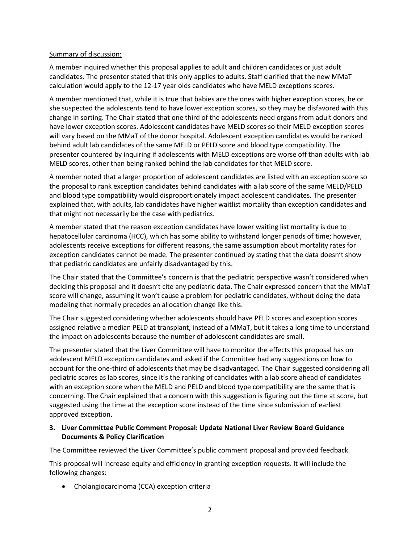## Summary of discussion:

A member inquired whether this proposal applies to adult and children candidates or just adult candidates. The presenter stated that this only applies to adults. Staff clarified that the new MMaT calculation would apply to the 12-17 year olds candidates who have MELD exceptions scores.

A member mentioned that, while it is true that babies are the ones with higher exception scores, he or she suspected the adolescents tend to have lower exception scores, so they may be disfavored with this change in sorting. The Chair stated that one third of the adolescents need organs from adult donors and have lower exception scores. Adolescent candidates have MELD scores so their MELD exception scores will vary based on the MMaT of the donor hospital. Adolescent exception candidates would be ranked behind adult lab candidates of the same MELD or PELD score and blood type compatibility. The presenter countered by inquiring if adolescents with MELD exceptions are worse off than adults with lab MELD scores, other than being ranked behind the lab candidates for that MELD score.

A member noted that a larger proportion of adolescent candidates are listed with an exception score so the proposal to rank exception candidates behind candidates with a lab score of the same MELD/PELD and blood type compatibility would disproportionately impact adolescent candidates. The presenter explained that, with adults, lab candidates have higher waitlist mortality than exception candidates and that might not necessarily be the case with pediatrics.

A member stated that the reason exception candidates have lower waiting list mortality is due to hepatocellular carcinoma (HCC), which has some ability to withstand longer periods of time; however, adolescents receive exceptions for different reasons, the same assumption about mortality rates for exception candidates cannot be made. The presenter continued by stating that the data doesn't show that pediatric candidates are unfairly disadvantaged by this.

The Chair stated that the Committee's concern is that the pediatric perspective wasn't considered when deciding this proposal and it doesn't cite any pediatric data. The Chair expressed concern that the MMaT score will change, assuming it won't cause a problem for pediatric candidates, without doing the data modeling that normally precedes an allocation change like this.

The Chair suggested considering whether adolescents should have PELD scores and exception scores assigned relative a median PELD at transplant, instead of a MMaT, but it takes a long time to understand the impact on adolescents because the number of adolescent candidates are small.

The presenter stated that the Liver Committee will have to monitor the effects this proposal has on adolescent MELD exception candidates and asked if the Committee had any suggestions on how to account for the one-third of adolescents that may be disadvantaged. The Chair suggested considering all pediatric scores as lab scores, since it's the ranking of candidates with a lab score ahead of candidates with an exception score when the MELD and PELD and blood type compatibility are the same that is concerning. The Chair explained that a concern with this suggestion is figuring out the time at score, but suggested using the time at the exception score instead of the time since submission of earliest approved exception.

## **3. Liver Committee Public Comment Proposal: Update National Liver Review Board Guidance Documents & Policy Clarification**

The Committee reviewed the Liver Committee's public comment proposal and provided feedback.

This proposal will increase equity and efficiency in granting exception requests. It will include the following changes:

Cholangiocarcinoma (CCA) exception criteria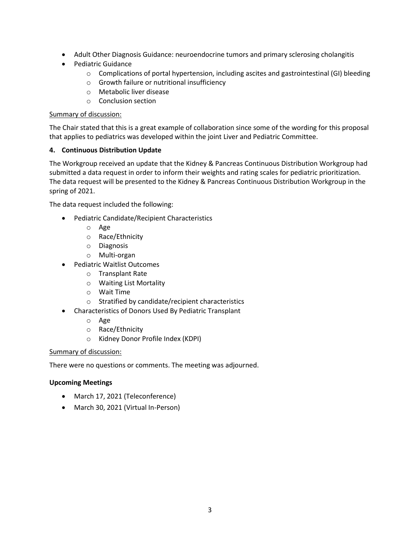- Adult Other Diagnosis Guidance: neuroendocrine tumors and primary sclerosing cholangitis
- Pediatric Guidance
	- o Complications of portal hypertension, including ascites and gastrointestinal (GI) bleeding
	- o Growth failure or nutritional insufficiency
	- o Metabolic liver disease
	- o Conclusion section

## Summary of discussion:

The Chair stated that this is a great example of collaboration since some of the wording for this proposal that applies to pediatrics was developed within the joint Liver and Pediatric Committee.

## **4. Continuous Distribution Update**

The Workgroup received an update that the Kidney & Pancreas Continuous Distribution Workgroup had submitted a data request in order to inform their weights and rating scales for pediatric prioritization. The data request will be presented to the Kidney & Pancreas Continuous Distribution Workgroup in the spring of 2021.

The data request included the following:

- Pediatric Candidate/Recipient Characteristics
	- o Age
	- o Race/Ethnicity
	- o Diagnosis
	- o Multi-organ
- Pediatric Waitlist Outcomes
	- o Transplant Rate
	- o Waiting List Mortality
	- o Wait Time
	- o Stratified by candidate/recipient characteristics
- Characteristics of Donors Used By Pediatric Transplant
	- o Age
	- o Race/Ethnicity
	- o Kidney Donor Profile Index (KDPI)

## Summary of discussion:

There were no questions or comments. The meeting was adjourned.

## **Upcoming Meetings**

- March 17, 2021 (Teleconference)
- March 30, 2021 (Virtual In-Person)